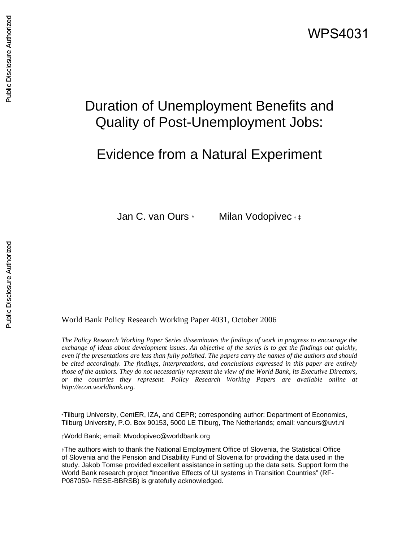# Duration of Unemployment Benefits and Quality of Post-Unemployment Jobs:

## Evidence from a Natural Experiment

Jan C. van Ours \* Milan Vodopivec <sub>† ‡</sub>

#### World Bank Policy Research Working Paper 4031, October 2006

*The Policy Research Working Paper Series disseminates the findings of work in progress to encourage the exchange of ideas about development issues. An objective of the series is to get the findings out quickly, even if the presentations are less than fully polished. The papers carry the names of the authors and should be cited accordingly. The findings, interpretations, and conclusions expressed in this paper are entirely those of the authors. They do not necessarily represent the view of the World Bank, its Executive Directors, or the countries they represent. Policy Research Working Papers are available online at http://econ.worldbank.org.* 

\*Tilburg University, CentER, IZA, and CEPR; corresponding author: Department of Economics, Tilburg University, P.O. Box 90153, 5000 LE Tilburg, The Netherlands; email: vanours@uvt.nl

†World Bank; email: Mvodopivec@worldbank.org

‡The authors wish to thank the National Employment Office of Slovenia, the Statistical Office of Slovenia and the Pension and Disability Fund of Slovenia for providing the data used in the study. Jakob Tomse provided excellent assistance in setting up the data sets. Support form the World Bank research project "Incentive Effects of UI systems in Transition Countries" (RF-P087059- RESE-BBRSB) is gratefully acknowledged.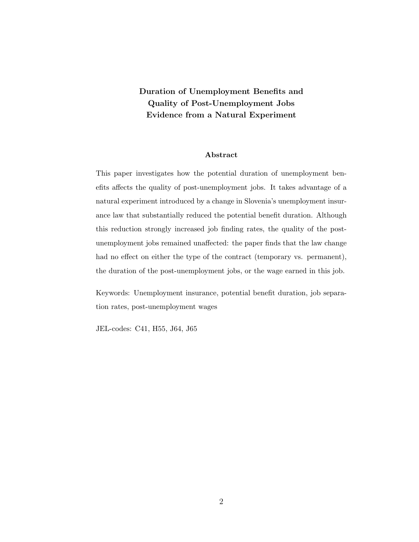### Duration of Unemployment Benefits and Quality of Post-Unemployment Jobs Evidence from a Natural Experiment

#### Abstract

This paper investigates how the potential duration of unemployment benefits affects the quality of post-unemployment jobs. It takes advantage of a natural experiment introduced by a change in Slovenia's unemployment insurance law that substantially reduced the potential benefit duration. Although this reduction strongly increased job finding rates, the quality of the postunemployment jobs remained unaffected: the paper finds that the law change had no effect on either the type of the contract (temporary vs. permanent), the duration of the post-unemployment jobs, or the wage earned in this job.

Keywords: Unemployment insurance, potential benefit duration, job separation rates, post-unemployment wages

JEL-codes: C41, H55, J64, J65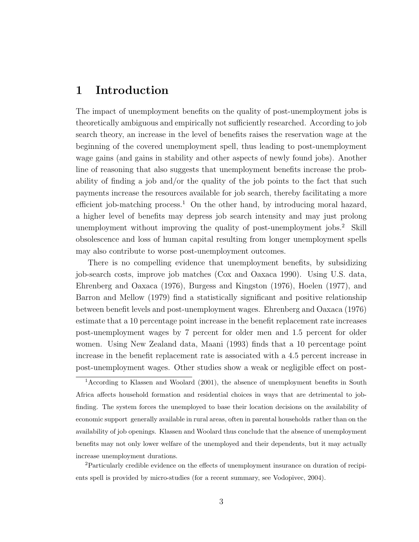## 1 Introduction

The impact of unemployment benefits on the quality of post-unemployment jobs is theoretically ambiguous and empirically not sufficiently researched. According to job search theory, an increase in the level of benefits raises the reservation wage at the beginning of the covered unemployment spell, thus leading to post-unemployment wage gains (and gains in stability and other aspects of newly found jobs). Another line of reasoning that also suggests that unemployment benefits increase the probability of finding a job and/or the quality of the job points to the fact that such payments increase the resources available for job search, thereby facilitating a more efficient job-matching process.<sup>1</sup> On the other hand, by introducing moral hazard, a higher level of benefits may depress job search intensity and may just prolong unemployment without improving the quality of post-unemployment jobs.<sup>2</sup> Skill obsolescence and loss of human capital resulting from longer unemployment spells may also contribute to worse post-unemployment outcomes.

There is no compelling evidence that unemployment benefits, by subsidizing job-search costs, improve job matches (Cox and Oaxaca 1990). Using U.S. data, Ehrenberg and Oaxaca (1976), Burgess and Kingston (1976), Hoelen (1977), and Barron and Mellow (1979) find a statistically significant and positive relationship between benefit levels and post-unemployment wages. Ehrenberg and Oaxaca (1976) estimate that a 10 percentage point increase in the benefit replacement rate increases post-unemployment wages by 7 percent for older men and 1.5 percent for older women. Using New Zealand data, Maani (1993) finds that a 10 percentage point increase in the benefit replacement rate is associated with a 4.5 percent increase in post-unemployment wages. Other studies show a weak or negligible effect on post-

<sup>2</sup>Particularly credible evidence on the effects of unemployment insurance on duration of recipients spell is provided by micro-studies (for a recent summary, see Vodopivec, 2004).

<sup>1</sup>According to Klassen and Woolard (2001), the absence of unemployment benefits in South Africa affects household formation and residential choices in ways that are detrimental to jobfinding. The system forces the unemployed to base their location decisions on the availability of economic support generally available in rural areas, often in parental households rather than on the availability of job openings. Klassen and Woolard thus conclude that the absence of unemployment benefits may not only lower welfare of the unemployed and their dependents, but it may actually increase unemployment durations.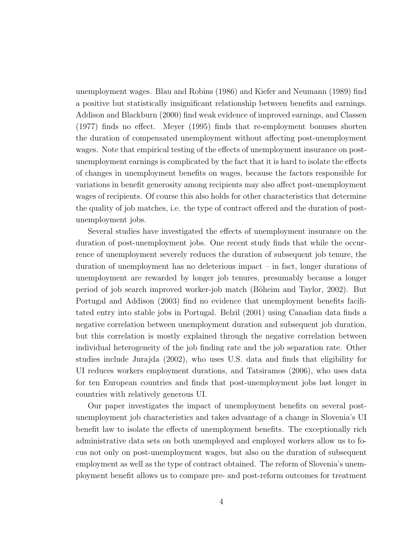unemployment wages. Blau and Robins (1986) and Kiefer and Neumann (1989) find a positive but statistically insignificant relationship between benefits and earnings. Addison and Blackburn (2000) find weak evidence of improved earnings, and Classen (1977) finds no effect. Meyer (1995) finds that re-employment bonuses shorten the duration of compensated unemployment without affecting post-unemployment wages. Note that empirical testing of the effects of unemployment insurance on postunemployment earnings is complicated by the fact that it is hard to isolate the effects of changes in unemployment benefits on wages, because the factors responsible for variations in benefit generosity among recipients may also affect post-unemployment wages of recipients. Of course this also holds for other characteristics that determine the quality of job matches, i.e. the type of contract offered and the duration of postunemployment jobs.

Several studies have investigated the effects of unemployment insurance on the duration of post-unemployment jobs. One recent study finds that while the occurrence of unemployment severely reduces the duration of subsequent job tenure, the duration of unemployment has no deleterious impact – in fact, longer durations of unemployment are rewarded by longer job tenures, presumably because a longer period of job search improved worker-job match (Böheim and Taylor, 2002). But Portugal and Addison (2003) find no evidence that unemployment benefits facilitated entry into stable jobs in Portugal. Belzil (2001) using Canadian data finds a negative correlation between unemployment duration and subsequent job duration, but this correlation is mostly explained through the negative correlation between individual heterogeneity of the job finding rate and the job separation rate. Other studies include Jurajda (2002), who uses U.S. data and finds that eligibility for UI reduces workers employment durations, and Tatsiramos (2006), who uses data for ten European countries and finds that post-unemployment jobs last longer in countries with relatively generous UI.

Our paper investigates the impact of unemployment benefits on several postunemployment job characteristics and takes advantage of a change in Slovenia's UI benefit law to isolate the effects of unemployment benefits. The exceptionally rich administrative data sets on both unemployed and employed workers allow us to focus not only on post-unemployment wages, but also on the duration of subsequent employment as well as the type of contract obtained. The reform of Slovenia's unemployment benefit allows us to compare pre- and post-reform outcomes for treatment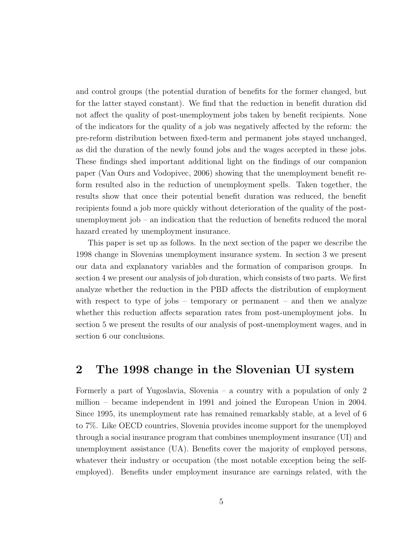and control groups (the potential duration of benefits for the former changed, but for the latter stayed constant). We find that the reduction in benefit duration did not affect the quality of post-unemployment jobs taken by benefit recipients. None of the indicators for the quality of a job was negatively affected by the reform: the pre-reform distribution between fixed-term and permanent jobs stayed unchanged, as did the duration of the newly found jobs and the wages accepted in these jobs. These findings shed important additional light on the findings of our companion paper (Van Ours and Vodopivec, 2006) showing that the unemployment benefit reform resulted also in the reduction of unemployment spells. Taken together, the results show that once their potential benefit duration was reduced, the benefit recipients found a job more quickly without deterioration of the quality of the postunemployment job – an indication that the reduction of benefits reduced the moral hazard created by unemployment insurance.

This paper is set up as follows. In the next section of the paper we describe the 1998 change in Slovenias unemployment insurance system. In section 3 we present our data and explanatory variables and the formation of comparison groups. In section 4 we present our analysis of job duration, which consists of two parts. We first analyze whether the reduction in the PBD affects the distribution of employment with respect to type of jobs – temporary or permanent – and then we analyze whether this reduction affects separation rates from post-unemployment jobs. In section 5 we present the results of our analysis of post-unemployment wages, and in section 6 our conclusions.

## 2 The 1998 change in the Slovenian UI system

Formerly a part of Yugoslavia, Slovenia – a country with a population of only 2 million – became independent in 1991 and joined the European Union in 2004. Since 1995, its unemployment rate has remained remarkably stable, at a level of 6 to 7%. Like OECD countries, Slovenia provides income support for the unemployed through a social insurance program that combines unemployment insurance (UI) and unemployment assistance (UA). Benefits cover the majority of employed persons, whatever their industry or occupation (the most notable exception being the selfemployed). Benefits under employment insurance are earnings related, with the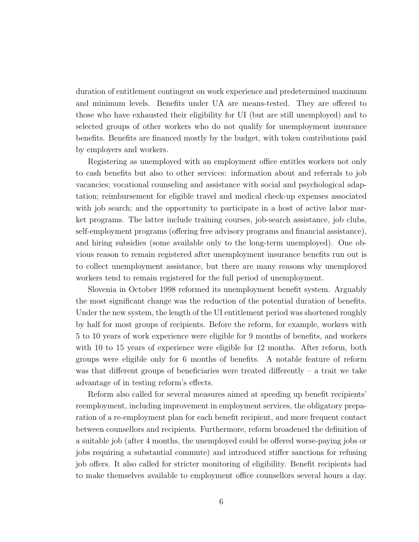duration of entitlement contingent on work experience and predetermined maximum and minimum levels. Benefits under UA are means-tested. They are offered to those who have exhausted their eligibility for UI (but are still unemployed) and to selected groups of other workers who do not qualify for unemployment insurance benefits. Benefits are financed mostly by the budget, with token contributions paid by employers and workers.

Registering as unemployed with an employment office entitles workers not only to cash benefits but also to other services: information about and referrals to job vacancies; vocational counseling and assistance with social and psychological adaptation; reimbursement for eligible travel and medical check-up expenses associated with job search; and the opportunity to participate in a host of active labor market programs. The latter include training courses, job-search assistance, job clubs, self-employment programs (offering free advisory programs and financial assistance), and hiring subsidies (some available only to the long-term unemployed). One obvious reason to remain registered after unemployment insurance benefits run out is to collect unemployment assistance, but there are many reasons why unemployed workers tend to remain registered for the full period of unemployment.

Slovenia in October 1998 reformed its unemployment benefit system. Arguably the most significant change was the reduction of the potential duration of benefits. Under the new system, the length of the UI entitlement period was shortened roughly by half for most groups of recipients. Before the reform, for example, workers with 5 to 10 years of work experience were eligible for 9 months of benefits, and workers with 10 to 15 years of experience were eligible for 12 months. After reform, both groups were eligible only for 6 months of benefits. A notable feature of reform was that different groups of beneficiaries were treated differently  $-$  a trait we take advantage of in testing reform's effects.

Reform also called for several measures aimed at speeding up benefit recipients' reemployment, including improvement in employment services, the obligatory preparation of a re-employment plan for each benefit recipient, and more frequent contact between counsellors and recipients. Furthermore, reform broadened the definition of a suitable job (after 4 months, the unemployed could be offered worse-paying jobs or jobs requiring a substantial commute) and introduced stiffer sanctions for refusing job offers. It also called for stricter monitoring of eligibility. Benefit recipients had to make themselves available to employment office counsellors several hours a day.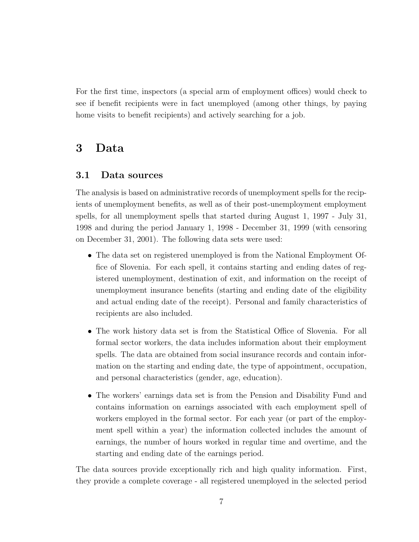For the first time, inspectors (a special arm of employment offices) would check to see if benefit recipients were in fact unemployed (among other things, by paying home visits to benefit recipients) and actively searching for a job.

### 3 Data

#### 3.1 Data sources

The analysis is based on administrative records of unemployment spells for the recipients of unemployment benefits, as well as of their post-unemployment employment spells, for all unemployment spells that started during August 1, 1997 - July 31, 1998 and during the period January 1, 1998 - December 31, 1999 (with censoring on December 31, 2001). The following data sets were used:

- The data set on registered unemployed is from the National Employment Office of Slovenia. For each spell, it contains starting and ending dates of registered unemployment, destination of exit, and information on the receipt of unemployment insurance benefits (starting and ending date of the eligibility and actual ending date of the receipt). Personal and family characteristics of recipients are also included.
- The work history data set is from the Statistical Office of Slovenia. For all formal sector workers, the data includes information about their employment spells. The data are obtained from social insurance records and contain information on the starting and ending date, the type of appointment, occupation, and personal characteristics (gender, age, education).
- The workers' earnings data set is from the Pension and Disability Fund and contains information on earnings associated with each employment spell of workers employed in the formal sector. For each year (or part of the employment spell within a year) the information collected includes the amount of earnings, the number of hours worked in regular time and overtime, and the starting and ending date of the earnings period.

The data sources provide exceptionally rich and high quality information. First, they provide a complete coverage - all registered unemployed in the selected period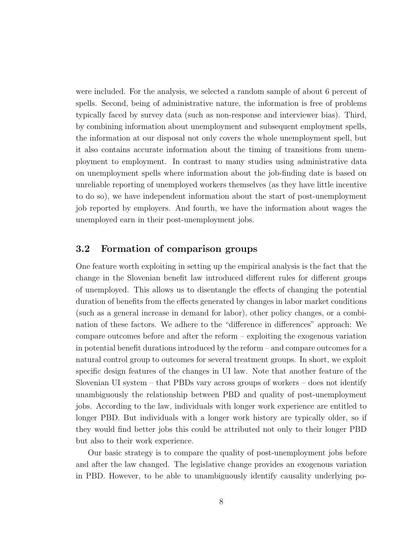were included. For the analysis, we selected a random sample of about 6 percent of spells. Second, being of administrative nature, the information is free of problems typically faced by survey data (such as non-response and interviewer bias). Third, by combining information about unemployment and subsequent employment spells, the information at our disposal not only covers the whole unemployment spell, but it also contains accurate information about the timing of transitions from unemployment to employment. In contrast to many studies using administrative data on unemployment spells where information about the job-finding date is based on unreliable reporting of unemployed workers themselves (as they have little incentive to do so), we have independent information about the start of post-unemployment job reported by employers. And fourth, we have the information about wages the unemployed earn in their post-unemployment jobs.

#### 3.2 Formation of comparison groups

One feature worth exploiting in setting up the empirical analysis is the fact that the change in the Slovenian benefit law introduced different rules for different groups of unemployed. This allows us to disentangle the effects of changing the potential duration of benefits from the effects generated by changes in labor market conditions (such as a general increase in demand for labor), other policy changes, or a combination of these factors. We adhere to the "difference in differences" approach: We compare outcomes before and after the reform – exploiting the exogenous variation in potential benefit durations introduced by the reform – and compare outcomes for a natural control group to outcomes for several treatment groups. In short, we exploit specific design features of the changes in UI law. Note that another feature of the Slovenian UI system – that PBDs vary across groups of workers – does not identify unambiguously the relationship between PBD and quality of post-unemployment jobs. According to the law, individuals with longer work experience are entitled to longer PBD. But individuals with a longer work history are typically older, so if they would find better jobs this could be attributed not only to their longer PBD but also to their work experience.

Our basic strategy is to compare the quality of post-unemployment jobs before and after the law changed. The legislative change provides an exogenous variation in PBD. However, to be able to unambiguously identify causality underlying po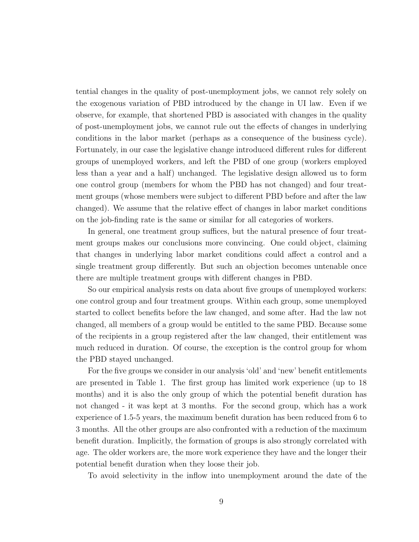tential changes in the quality of post-unemployment jobs, we cannot rely solely on the exogenous variation of PBD introduced by the change in UI law. Even if we observe, for example, that shortened PBD is associated with changes in the quality of post-unemployment jobs, we cannot rule out the effects of changes in underlying conditions in the labor market (perhaps as a consequence of the business cycle). Fortunately, in our case the legislative change introduced different rules for different groups of unemployed workers, and left the PBD of one group (workers employed less than a year and a half) unchanged. The legislative design allowed us to form one control group (members for whom the PBD has not changed) and four treatment groups (whose members were subject to different PBD before and after the law changed). We assume that the relative effect of changes in labor market conditions on the job-finding rate is the same or similar for all categories of workers.

In general, one treatment group suffices, but the natural presence of four treatment groups makes our conclusions more convincing. One could object, claiming that changes in underlying labor market conditions could affect a control and a single treatment group differently. But such an objection becomes untenable once there are multiple treatment groups with different changes in PBD.

So our empirical analysis rests on data about five groups of unemployed workers: one control group and four treatment groups. Within each group, some unemployed started to collect benefits before the law changed, and some after. Had the law not changed, all members of a group would be entitled to the same PBD. Because some of the recipients in a group registered after the law changed, their entitlement was much reduced in duration. Of course, the exception is the control group for whom the PBD stayed unchanged.

For the five groups we consider in our analysis 'old' and 'new' benefit entitlements are presented in Table 1. The first group has limited work experience (up to 18 months) and it is also the only group of which the potential benefit duration has not changed - it was kept at 3 months. For the second group, which has a work experience of 1.5-5 years, the maximum benefit duration has been reduced from 6 to 3 months. All the other groups are also confronted with a reduction of the maximum benefit duration. Implicitly, the formation of groups is also strongly correlated with age. The older workers are, the more work experience they have and the longer their potential benefit duration when they loose their job.

To avoid selectivity in the inflow into unemployment around the date of the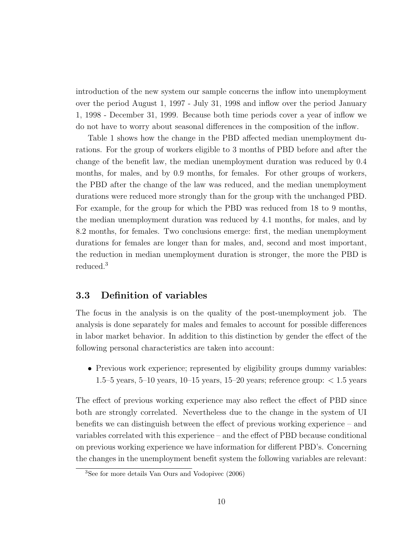introduction of the new system our sample concerns the inflow into unemployment over the period August 1, 1997 - July 31, 1998 and inflow over the period January 1, 1998 - December 31, 1999. Because both time periods cover a year of inflow we do not have to worry about seasonal differences in the composition of the inflow.

Table 1 shows how the change in the PBD affected median unemployment durations. For the group of workers eligible to 3 months of PBD before and after the change of the benefit law, the median unemployment duration was reduced by 0.4 months, for males, and by 0.9 months, for females. For other groups of workers, the PBD after the change of the law was reduced, and the median unemployment durations were reduced more strongly than for the group with the unchanged PBD. For example, for the group for which the PBD was reduced from 18 to 9 months, the median unemployment duration was reduced by 4.1 months, for males, and by 8.2 months, for females. Two conclusions emerge: first, the median unemployment durations for females are longer than for males, and, second and most important, the reduction in median unemployment duration is stronger, the more the PBD is reduced.<sup>3</sup>

#### 3.3 Definition of variables

The focus in the analysis is on the quality of the post-unemployment job. The analysis is done separately for males and females to account for possible differences in labor market behavior. In addition to this distinction by gender the effect of the following personal characteristics are taken into account:

• Previous work experience; represented by eligibility groups dummy variables: 1.5–5 years, 5–10 years, 10–15 years, 15–20 years; reference group:  $< 1.5$  years

The effect of previous working experience may also reflect the effect of PBD since both are strongly correlated. Nevertheless due to the change in the system of UI benefits we can distinguish between the effect of previous working experience – and variables correlated with this experience – and the effect of PBD because conditional on previous working experience we have information for different PBD's. Concerning the changes in the unemployment benefit system the following variables are relevant:

<sup>3</sup>See for more details Van Ours and Vodopivec (2006)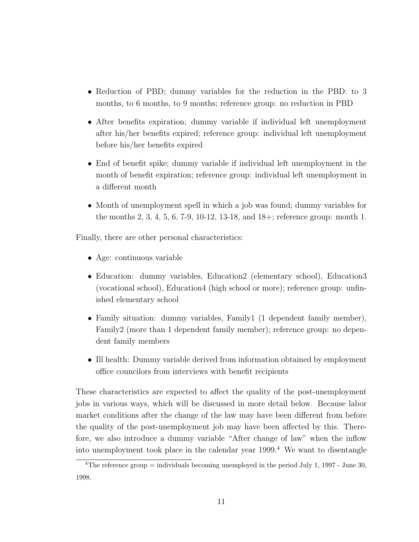- Reduction of PBD; dummy variables for the reduction in the PBD: to 3 months, to 6 months, to 9 months; reference group: no reduction in PBD
- After benefits expiration; dummy variable if individual left unemployment after his/her benefits expired; reference group: individual left unemployment before his/her benefits expired
- End of benefit spike; dummy variable if individual left unemployment in the month of benefit expiration; reference group: individual left unemployment in a different month
- Month of unemployment spell in which a job was found; dummy variables for the months 2, 3, 4, 5, 6, 7-9, 10-12, 13-18, and 18+; reference group: month 1.

Finally, there are other personal characteristics:

- Age: continuous variable
- Education: dummy variables, Education2 (elementary school), Education3 (vocational school), Education4 (high school or more); reference group: unfinished elementary school
- Family situation: dummy variables, Family1 (1 dependent family member), Family2 (more than 1 dependent family member); reference group: no dependent family members
- Ill health: Dummy variable derived from information obtained by employment office councilors from interviews with benefit recipients

These characteristics are expected to affect the quality of the post-unemployment jobs in various ways, which will be discussed in more detail below. Because labor market conditions after the change of the law may have been different from before the quality of the post-unemployment job may have been affected by this. Therefore, we also introduce a dummy variable "After change of law" when the inflow into unemployment took place in the calendar year 1999.<sup>4</sup> We want to disentangle

<sup>&</sup>lt;sup>4</sup>The reference group  $=$  individuals becoming unemployed in the period July 1, 1997 - June 30, 1998.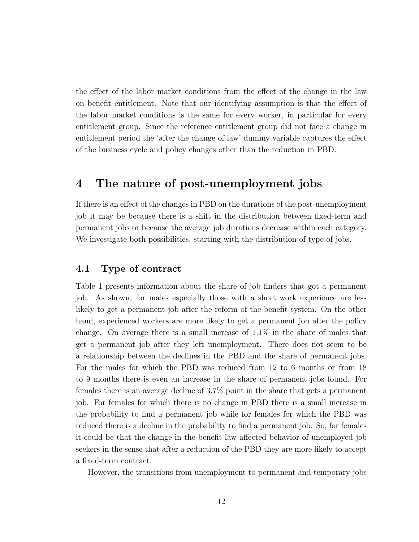the effect of the labor market conditions from the effect of the change in the law on benefit entitlement. Note that our identifying assumption is that the effect of the labor market conditions is the same for every worker, in particular for every entitlement group. Since the reference entitlement group did not face a change in entitlement period the 'after the change of law' dummy variable captures the effect of the business cycle and policy changes other than the reduction in PBD.

## 4 The nature of post-unemployment jobs

If there is an effect of the changes in PBD on the durations of the post-unemployment job it may be because there is a shift in the distribution between fixed-term and permanent jobs or because the average job durations decrease within each category. We investigate both possibilities, starting with the distribution of type of jobs.

#### 4.1 Type of contract

Table 1 presents information about the share of job finders that got a permanent job. As shown, for males especially those with a short work experience are less likely to get a permanent job after the reform of the benefit system. On the other hand, experienced workers are more likely to get a permanent job after the policy change. On average there is a small increase of 1.1% in the share of males that get a permanent job after they left unemployment. There does not seem to be a relationship between the declines in the PBD and the share of permanent jobs. For the males for which the PBD was reduced from 12 to 6 months or from 18 to 9 months there is even an increase in the share of permanent jobs found. For females there is an average decline of 3.7% point in the share that gets a permanent job. For females for which there is no change in PBD there is a small increase in the probability to find a permanent job while for females for which the PBD was reduced there is a decline in the probability to find a permanent job. So, for females it could be that the change in the benefit law affected behavior of unemployed job seekers in the sense that after a reduction of the PBD they are more likely to accept a fixed-term contract.

However, the transitions from unemployment to permanent and temporary jobs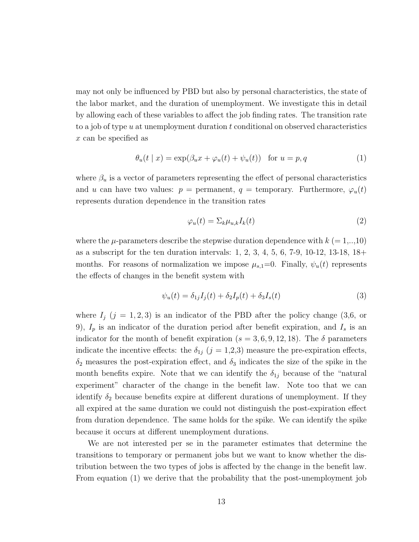may not only be influenced by PBD but also by personal characteristics, the state of the labor market, and the duration of unemployment. We investigate this in detail by allowing each of these variables to affect the job finding rates. The transition rate to a job of type  $u$  at unemployment duration  $t$  conditional on observed characteristics x can be specified as

$$
\theta_u(t \mid x) = \exp(\beta_u x + \varphi_u(t) + \psi_u(t)) \quad \text{for } u = p, q \tag{1}
$$

where  $\beta_u$  is a vector of parameters representing the effect of personal characteristics and u can have two values:  $p =$  permanent,  $q =$  temporary. Furthermore,  $\varphi_u(t)$ represents duration dependence in the transition rates

$$
\varphi_u(t) = \Sigma_k \mu_{u,k} I_k(t) \tag{2}
$$

where the  $\mu$ -parameters describe the stepwise duration dependence with  $k (= 1,..,10)$ as a subscript for the ten duration intervals: 1, 2, 3, 4, 5, 6, 7-9, 10-12, 13-18, 18+ months. For reasons of normalization we impose  $\mu_{s,1}=0$ . Finally,  $\psi_u(t)$  represents the effects of changes in the benefit system with

$$
\psi_u(t) = \delta_{1j} I_j(t) + \delta_2 I_p(t) + \delta_3 I_s(t) \tag{3}
$$

where  $I_j$  (j = 1, 2, 3) is an indicator of the PBD after the policy change (3,6, or 9),  $I_p$  is an indicator of the duration period after benefit expiration, and  $I_s$  is an indicator for the month of benefit expiration ( $s = 3, 6, 9, 12, 18$ ). The  $\delta$  parameters indicate the incentive effects: the  $\delta_{1j}$  (j = 1,2,3) measure the pre-expiration effects,  $\delta_2$  measures the post-expiration effect, and  $\delta_3$  indicates the size of the spike in the month benefits expire. Note that we can identify the  $\delta_{1j}$  because of the "natural" experiment" character of the change in the benefit law. Note too that we can identify  $\delta_2$  because benefits expire at different durations of unemployment. If they all expired at the same duration we could not distinguish the post-expiration effect from duration dependence. The same holds for the spike. We can identify the spike because it occurs at different unemployment durations.

We are not interested per se in the parameter estimates that determine the transitions to temporary or permanent jobs but we want to know whether the distribution between the two types of jobs is affected by the change in the benefit law. From equation (1) we derive that the probability that the post-unemployment job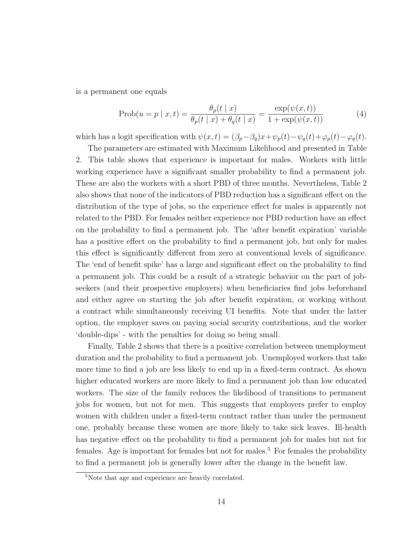is a permanent one equals

$$
\text{Prob}(u = p \mid x, t) = \frac{\theta_p(t \mid x)}{\theta_p(t \mid x) + \theta_q(t \mid x)} = \frac{\exp(\psi(x, t))}{1 + \exp(\psi(x, t))}
$$
(4)

which has a logit specification with  $\psi(x,t) = (\beta_p - \beta_q)x + \psi_p(t) - \psi_q(t) + \varphi_p(t) - \varphi_q(t)$ .

The parameters are estimated with Maximum Likelihood and presented in Table 2. This table shows that experience is important for males. Workers with little working experience have a significant smaller probability to find a permanent job. These are also the workers with a short PBD of three months. Nevertheless, Table 2 also shows that none of the indicators of PBD reduction has a significant effect on the distribution of the type of jobs, so the experience effect for males is apparently not related to the PBD. For females neither experience nor PBD reduction have an effect on the probability to find a permanent job. The 'after benefit expiration' variable has a positive effect on the probability to find a permanent job, but only for males this effect is significantly different from zero at conventional levels of significance. The 'end of benefit spike' has a large and significant effect on the probability to find a permanent job. This could be a result of a strategic behavior on the part of jobseekers (and their prospective employers) when beneficiaries find jobs beforehand and either agree on starting the job after benefit expiration, or working without a contract while simultaneously receiving UI benefits. Note that under the latter option, the employer saves on paying social security contributions, and the worker 'double-dips' - with the penalties for doing so being small.

Finally, Table 2 shows that there is a positive correlation between unemployment duration and the probability to find a permanent job. Unemployed workers that take more time to find a job are less likely to end up in a fixed-term contract. As shown higher educated workers are more likely to find a permanent job than low educated workers. The size of the family reduces the likelihood of transitions to permanent jobs for women, but not for men. This suggests that employers prefer to employ women with children under a fixed-term contract rather than under the permanent one, probably because these women are more likely to take sick leaves. Ill-health has negative effect on the probability to find a permanent job for males but not for females. Age is important for females but not for males.<sup>5</sup> For females the probability to find a permanent job is generally lower after the change in the benefit law.

<sup>5</sup>Note that age and experience are heavily correlated.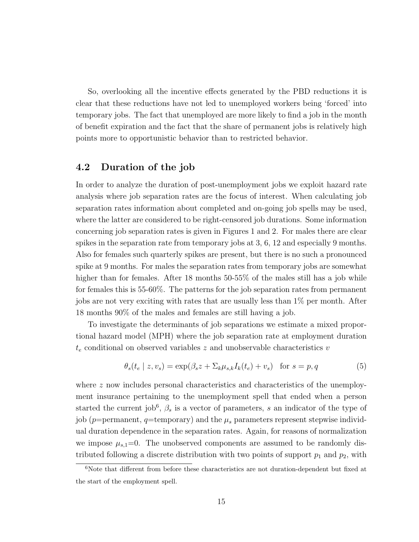So, overlooking all the incentive effects generated by the PBD reductions it is clear that these reductions have not led to unemployed workers being 'forced' into temporary jobs. The fact that unemployed are more likely to find a job in the month of benefit expiration and the fact that the share of permanent jobs is relatively high points more to opportunistic behavior than to restricted behavior.

#### 4.2 Duration of the job

In order to analyze the duration of post-unemployment jobs we exploit hazard rate analysis where job separation rates are the focus of interest. When calculating job separation rates information about completed and on-going job spells may be used, where the latter are considered to be right-censored job durations. Some information concerning job separation rates is given in Figures 1 and 2. For males there are clear spikes in the separation rate from temporary jobs at 3, 6, 12 and especially 9 months. Also for females such quarterly spikes are present, but there is no such a pronounced spike at 9 months. For males the separation rates from temporary jobs are somewhat higher than for females. After 18 months 50-55% of the males still has a job while for females this is 55-60%. The patterns for the job separation rates from permanent jobs are not very exciting with rates that are usually less than 1% per month. After 18 months 90% of the males and females are still having a job.

To investigate the determinants of job separations we estimate a mixed proportional hazard model (MPH) where the job separation rate at employment duration  $t_e$  conditional on observed variables z and unobservable characteristics v

$$
\theta_s(t_e \mid z, v_s) = \exp(\beta_s z + \Sigma_k \mu_{s,k} I_k(t_e) + v_s) \quad \text{for } s = p, q \tag{5}
$$

where z now includes personal characteristics and characteristics of the unemployment insurance pertaining to the unemployment spell that ended when a person started the current job<sup>6</sup>,  $\beta_s$  is a vector of parameters, s an indicator of the type of job (p=permanent, q=temporary) and the  $\mu_s$  parameters represent stepwise individual duration dependence in the separation rates. Again, for reasons of normalization we impose  $\mu_{s,1}=0$ . The unobserved components are assumed to be randomly distributed following a discrete distribution with two points of support  $p_1$  and  $p_2$ , with

 $6$ Note that different from before these characteristics are not duration-dependent but fixed at the start of the employment spell.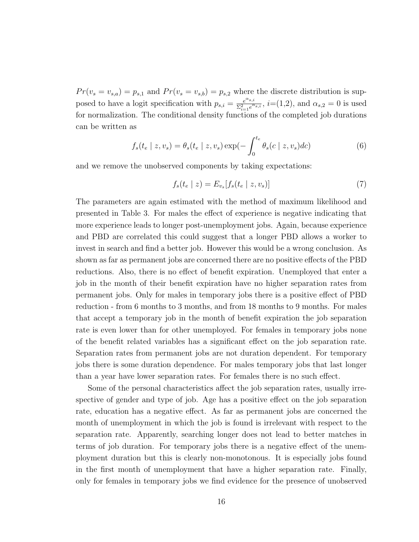$Pr(v_s = v_{s,a}) = p_{s,1}$  and  $Pr(v_s = v_{s,b}) = p_{s,2}$  where the discrete distribution is supposed to have a logit specification with  $p_{s,i} = \frac{e^{\alpha_{s,i}}}{\Sigma^2 - e^{\alpha_{s,i}}}$  $\frac{e^{\alpha_{s,i}}}{\Sigma_{i=1}^2 e^{\alpha_{s,i}}}, i=(1,2)$ , and  $\alpha_{s,2}=0$  is used for normalization. The conditional density functions of the completed job durations can be written as

$$
f_s(t_e \mid z, v_s) = \theta_s(t_e \mid z, v_s) \exp(-\int_0^{t_e} \theta_s(c \mid z, v_s) dc)
$$
\n
$$
(6)
$$

and we remove the unobserved components by taking expectations:

$$
f_s(t_e \mid z) = E_{v_s}[f_s(t_e \mid z, v_s)] \tag{7}
$$

The parameters are again estimated with the method of maximum likelihood and presented in Table 3. For males the effect of experience is negative indicating that more experience leads to longer post-unemployment jobs. Again, because experience and PBD are correlated this could suggest that a longer PBD allows a worker to invest in search and find a better job. However this would be a wrong conclusion. As shown as far as permanent jobs are concerned there are no positive effects of the PBD reductions. Also, there is no effect of benefit expiration. Unemployed that enter a job in the month of their benefit expiration have no higher separation rates from permanent jobs. Only for males in temporary jobs there is a positive effect of PBD reduction - from 6 months to 3 months, and from 18 months to 9 months. For males that accept a temporary job in the month of benefit expiration the job separation rate is even lower than for other unemployed. For females in temporary jobs none of the benefit related variables has a significant effect on the job separation rate. Separation rates from permanent jobs are not duration dependent. For temporary jobs there is some duration dependence. For males temporary jobs that last longer than a year have lower separation rates. For females there is no such effect.

Some of the personal characteristics affect the job separation rates, usually irrespective of gender and type of job. Age has a positive effect on the job separation rate, education has a negative effect. As far as permanent jobs are concerned the month of unemployment in which the job is found is irrelevant with respect to the separation rate. Apparently, searching longer does not lead to better matches in terms of job duration. For temporary jobs there is a negative effect of the unemployment duration but this is clearly non-monotonous. It is especially jobs found in the first month of unemployment that have a higher separation rate. Finally, only for females in temporary jobs we find evidence for the presence of unobserved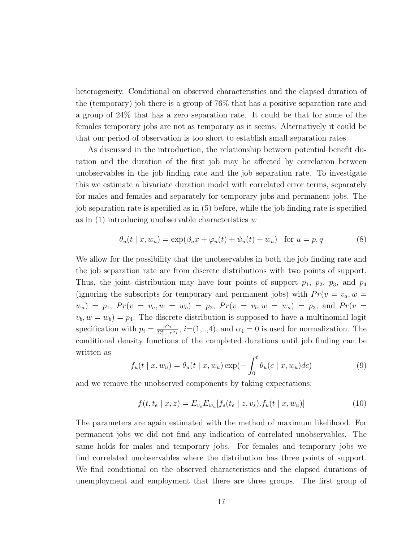heterogeneity. Conditional on observed characteristics and the elapsed duration of the (temporary) job there is a group of 76% that has a positive separation rate and a group of 24% that has a zero separation rate. It could be that for some of the females temporary jobs are not as temporary as it seems. Alternatively it could be that our period of observation is too short to establish small separation rates.

As discussed in the introduction, the relationship between potential benefit duration and the duration of the first job may be affected by correlation between unobservables in the job finding rate and the job separation rate. To investigate this we estimate a bivariate duration model with correlated error terms, separately for males and females and separately for temporary jobs and permanent jobs. The job separation rate is specified as in (5) before, while the job finding rate is specified as in  $(1)$  introducing unobservable characteristics w

$$
\theta_u(t \mid x, w_u) = \exp(\beta_u x + \varphi_u(t) + \psi_u(t) + w_u) \quad \text{for } u = p, q \tag{8}
$$

We allow for the possibility that the unobservables in both the job finding rate and the job separation rate are from discrete distributions with two points of support. Thus, the joint distribution may have four points of support  $p_1$ ,  $p_2$ ,  $p_3$ , and  $p_4$ (ignoring the subscripts for temporary and permanent jobs) with  $Pr(v = v_a, w =$  $w_a$ ) =  $p_1$ ,  $Pr(v = v_a, w = w_b) = p_2$ ,  $Pr(v = v_b, w = w_a) = p_3$ , and  $Pr(v = w_a)$  $v_b, w = w_b$  =  $p_4$ . The discrete distribution is supposed to have a multinomial logit specification with  $p_i = \frac{e^{\alpha_i}}{2}$  $\frac{e^{at_i}}{\sum_{i=1}^4 e^{at_i}}, i=(1,..,4)$ , and  $\alpha_4=0$  is used for normalization. The conditional density functions of the completed durations until job finding can be written as

$$
f_u(t \mid x, w_u) = \theta_u(t \mid x, w_u) \exp(-\int_0^t \theta_u(c \mid x, w_u)dc)
$$
\n(9)

and we remove the unobserved components by taking expectations:

$$
f(t, t_e | x, z) = E_{v_s} E_{w_u} [f_s(t_e | z, v_s) \cdot f_u(t | x, w_u)] \tag{10}
$$

The parameters are again estimated with the method of maximum likelihood. For permanent jobs we did not find any indication of correlated unobservables. The same holds for males and temporary jobs. For females and temporary jobs we find correlated unobservables where the distribution has three points of support. We find conditional on the observed characteristics and the elapsed durations of unemployment and employment that there are three groups. The first group of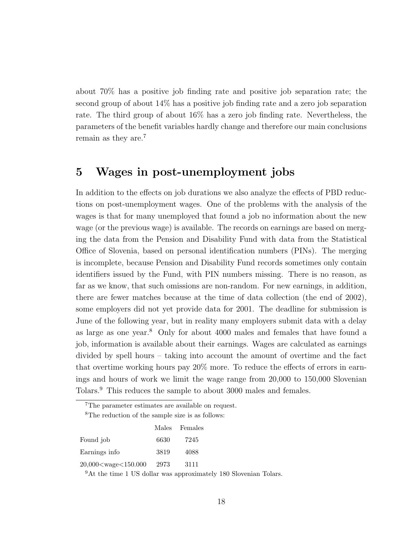about 70% has a positive job finding rate and positive job separation rate; the second group of about 14% has a positive job finding rate and a zero job separation rate. The third group of about 16% has a zero job finding rate. Nevertheless, the parameters of the benefit variables hardly change and therefore our main conclusions remain as they are.<sup>7</sup>

## 5 Wages in post-unemployment jobs

In addition to the effects on job durations we also analyze the effects of PBD reductions on post-unemployment wages. One of the problems with the analysis of the wages is that for many unemployed that found a job no information about the new wage (or the previous wage) is available. The records on earnings are based on merging the data from the Pension and Disability Fund with data from the Statistical Office of Slovenia, based on personal identification numbers (PINs). The merging is incomplete, because Pension and Disability Fund records sometimes only contain identifiers issued by the Fund, with PIN numbers missing. There is no reason, as far as we know, that such omissions are non-random. For new earnings, in addition, there are fewer matches because at the time of data collection (the end of 2002), some employers did not yet provide data for 2001. The deadline for submission is June of the following year, but in reality many employers submit data with a delay as large as one year.<sup>8</sup> Only for about 4000 males and females that have found a job, information is available about their earnings. Wages are calculated as earnings divided by spell hours – taking into account the amount of overtime and the fact that overtime working hours pay 20% more. To reduce the effects of errors in earnings and hours of work we limit the wage range from 20,000 to 150,000 Slovenian Tolars.<sup>9</sup> This reduces the sample to about 3000 males and females.

<sup>7</sup>The parameter estimates are available on request.

<sup>8</sup>The reduction of the sample size is as follows:

|                                                                        |      | Males Females |
|------------------------------------------------------------------------|------|---------------|
| Found job                                                              | 6630 | 7245          |
| Earnings info                                                          | 3819 | 4088          |
| 20,000 <wage<150.000< td=""><td>2973</td><td>3111</td></wage<150.000<> | 2973 | 3111          |
|                                                                        |      |               |

<sup>9</sup>At the time 1 US dollar was approximately 180 Slovenian Tolars.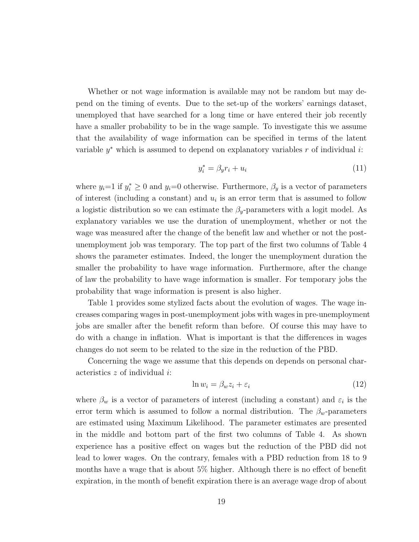Whether or not wage information is available may not be random but may depend on the timing of events. Due to the set-up of the workers' earnings dataset, unemployed that have searched for a long time or have entered their job recently have a smaller probability to be in the wage sample. To investigate this we assume that the availability of wage information can be specified in terms of the latent variable  $y^*$  which is assumed to depend on explanatory variables r of individual i:

$$
y_i^* = \beta_y r_i + u_i \tag{11}
$$

where  $y_i=1$  if  $y_i^* \geq 0$  and  $y_i=0$  otherwise. Furthermore,  $\beta_y$  is a vector of parameters of interest (including a constant) and  $u_i$  is an error term that is assumed to follow a logistic distribution so we can estimate the  $\beta_y$ -parameters with a logit model. As explanatory variables we use the duration of unemployment, whether or not the wage was measured after the change of the benefit law and whether or not the postunemployment job was temporary. The top part of the first two columns of Table 4 shows the parameter estimates. Indeed, the longer the unemployment duration the smaller the probability to have wage information. Furthermore, after the change of law the probability to have wage information is smaller. For temporary jobs the probability that wage information is present is also higher.

Table 1 provides some stylized facts about the evolution of wages. The wage increases comparing wages in post-unemployment jobs with wages in pre-unemployment jobs are smaller after the benefit reform than before. Of course this may have to do with a change in inflation. What is important is that the differences in wages changes do not seem to be related to the size in the reduction of the PBD.

Concerning the wage we assume that this depends on depends on personal characteristics  $z$  of individual  $i$ :

$$
\ln w_i = \beta_w z_i + \varepsilon_i \tag{12}
$$

where  $\beta_w$  is a vector of parameters of interest (including a constant) and  $\varepsilon_i$  is the error term which is assumed to follow a normal distribution. The  $\beta_w$ -parameters are estimated using Maximum Likelihood. The parameter estimates are presented in the middle and bottom part of the first two columns of Table 4. As shown experience has a positive effect on wages but the reduction of the PBD did not lead to lower wages. On the contrary, females with a PBD reduction from 18 to 9 months have a wage that is about 5% higher. Although there is no effect of benefit expiration, in the month of benefit expiration there is an average wage drop of about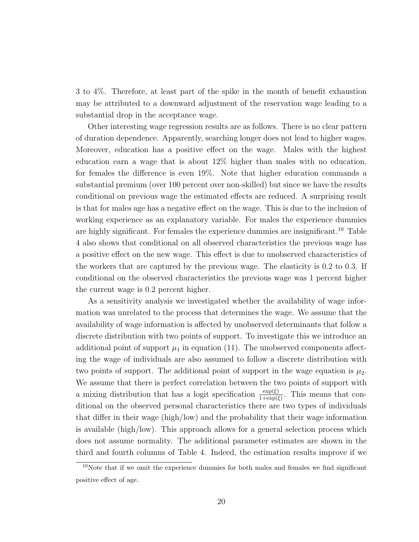3 to 4%. Therefore, at least part of the spike in the month of benefit exhaustion may be attributed to a downward adjustment of the reservation wage leading to a substantial drop in the acceptance wage.

Other interesting wage regression results are as follows. There is no clear pattern of duration dependence. Apparently, searching longer does not lead to higher wages. Moreover, education has a positive effect on the wage. Males with the highest education earn a wage that is about 12% higher than males with no education, for females the difference is even 19%. Note that higher education commands a substantial premium (over 100 percent over non-skilled) but since we have the results conditional on previous wage the estimated effects are reduced. A surprising result is that for males age has a negative effect on the wage. This is due to the inclusion of working experience as an explanatory variable. For males the experience dummies are highly significant. For females the experience dummies are insignificant.<sup>10</sup> Table 4 also shows that conditional on all observed characteristics the previous wage has a positive effect on the new wage. This effect is due to unobserved characteristics of the workers that are captured by the previous wage. The elasticity is 0.2 to 0.3. If conditional on the observed characteristics the previous wage was 1 percent higher the current wage is 0.2 percent higher.

As a sensitivity analysis we investigated whether the availability of wage information was unrelated to the process that determines the wage. We assume that the availability of wage information is affected by unobserved determinants that follow a discrete distribution with two points of support. To investigate this we introduce an additional point of support  $\mu_1$  in equation (11). The unobserved components affecting the wage of individuals are also assumed to follow a discrete distribution with two points of support. The additional point of support in the wage equation is  $\mu_2$ . We assume that there is perfect correlation between the two points of support with a mixing distribution that has a logit specification  $\frac{\exp(\xi)}{1+\exp(\xi)}$ . This means that conditional on the observed personal characteristics there are two types of individuals that differ in their wage (high/low) and the probability that their wage information is available (high/low). This approach allows for a general selection process which does not assume normality. The additional parameter estimates are shown in the third and fourth columns of Table 4. Indeed, the estimation results improve if we

 $10$ Note that if we omit the experience dummies for both males and females we find significant positive effect of age.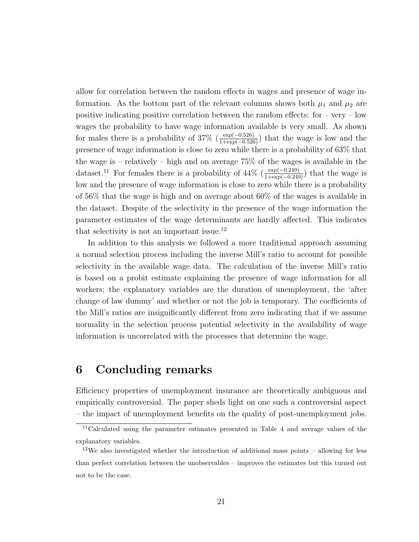allow for correlation between the random effects in wages and presence of wage information. As the bottom part of the relevant columns shows both  $\mu_1$  and  $\mu_2$  are positive indicating positive correlation between the random effects: for  $-$  very  $-$  low wages the probability to have wage information available is very small. As shown for males there is a probability of 37% ( $\frac{\exp(-0.526)}{1+\exp(-0.526)}$ ) that the wage is low and the presence of wage information is close to zero while there is a probability of 63% that the wage is – relatively – high and on average 75% of the wages is available in the dataset.<sup>11</sup> For females there is a probability of  $44\%$  ( $\frac{\exp(-0.249)}{1+\exp(-0.249)}$ ) that the wage is low and the presence of wage information is close to zero while there is a probability of 56% that the wage is high and on average about 60% of the wages is available in the dataset. Despite of the selectivity in the presence of the wage information the parameter estimates of the wage determinants are hardly affected. This indicates that selectivity is not an important issue.<sup>12</sup>

In addition to this analysis we followed a more traditional approach assuming a normal selection process including the inverse Mill's ratio to account for possible selectivity in the available wage data. The calculation of the inverse Mill's ratio is based on a probit estimate explaining the presence of wage information for all workers; the explanatory variables are the duration of unemployment, the 'after change of law dummy' and whether or not the job is temporary. The coefficients of the Mill's ratios are insignificantly different from zero indicating that if we assume normality in the selection process potential selectivity in the availability of wage information is uncorrelated with the processes that determine the wage.

## 6 Concluding remarks

Efficiency properties of unemployment insurance are theoretically ambiguous and empirically controversial. The paper sheds light on one such a controversial aspect – the impact of unemployment benefits on the quality of post-unemployment jobs.

<sup>11</sup>Calculated using the parameter estimates presented in Table 4 and average values of the explanatory variables.

<sup>&</sup>lt;sup>12</sup>We also investigated whether the introduction of additional mass points  $-$  allowing for less than perfect correlation between the unobservables – improves the estimates but this turned out not to be the case.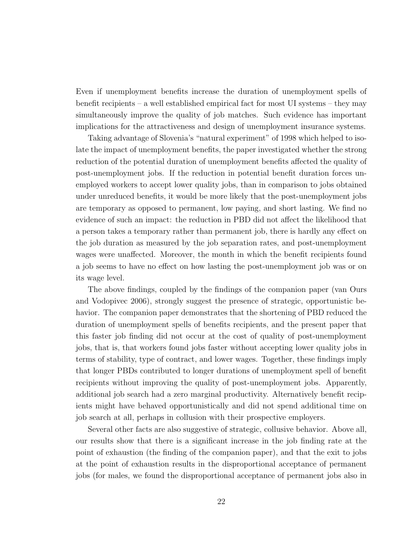Even if unemployment benefits increase the duration of unemployment spells of benefit recipients – a well established empirical fact for most UI systems – they may simultaneously improve the quality of job matches. Such evidence has important implications for the attractiveness and design of unemployment insurance systems.

Taking advantage of Slovenia's "natural experiment" of 1998 which helped to isolate the impact of unemployment benefits, the paper investigated whether the strong reduction of the potential duration of unemployment benefits affected the quality of post-unemployment jobs. If the reduction in potential benefit duration forces unemployed workers to accept lower quality jobs, than in comparison to jobs obtained under unreduced benefits, it would be more likely that the post-unemployment jobs are temporary as opposed to permanent, low paying, and short lasting. We find no evidence of such an impact: the reduction in PBD did not affect the likelihood that a person takes a temporary rather than permanent job, there is hardly any effect on the job duration as measured by the job separation rates, and post-unemployment wages were unaffected. Moreover, the month in which the benefit recipients found a job seems to have no effect on how lasting the post-unemployment job was or on its wage level.

The above findings, coupled by the findings of the companion paper (van Ours and Vodopivec 2006), strongly suggest the presence of strategic, opportunistic behavior. The companion paper demonstrates that the shortening of PBD reduced the duration of unemployment spells of benefits recipients, and the present paper that this faster job finding did not occur at the cost of quality of post-unemployment jobs, that is, that workers found jobs faster without accepting lower quality jobs in terms of stability, type of contract, and lower wages. Together, these findings imply that longer PBDs contributed to longer durations of unemployment spell of benefit recipients without improving the quality of post-unemployment jobs. Apparently, additional job search had a zero marginal productivity. Alternatively benefit recipients might have behaved opportunistically and did not spend additional time on job search at all, perhaps in collusion with their prospective employers.

Several other facts are also suggestive of strategic, collusive behavior. Above all, our results show that there is a significant increase in the job finding rate at the point of exhaustion (the finding of the companion paper), and that the exit to jobs at the point of exhaustion results in the disproportional acceptance of permanent jobs (for males, we found the disproportional acceptance of permanent jobs also in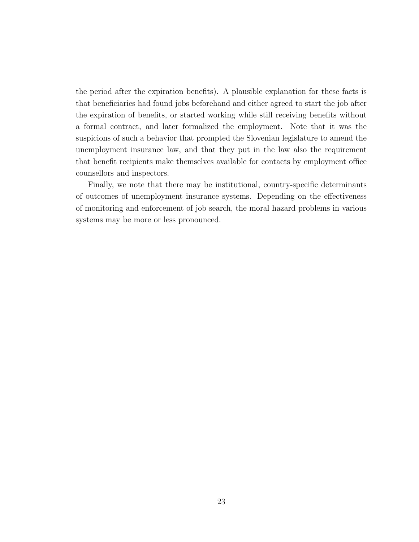the period after the expiration benefits). A plausible explanation for these facts is that beneficiaries had found jobs beforehand and either agreed to start the job after the expiration of benefits, or started working while still receiving benefits without a formal contract, and later formalized the employment. Note that it was the suspicions of such a behavior that prompted the Slovenian legislature to amend the unemployment insurance law, and that they put in the law also the requirement that benefit recipients make themselves available for contacts by employment office counsellors and inspectors.

Finally, we note that there may be institutional, country-specific determinants of outcomes of unemployment insurance systems. Depending on the effectiveness of monitoring and enforcement of job search, the moral hazard problems in various systems may be more or less pronounced.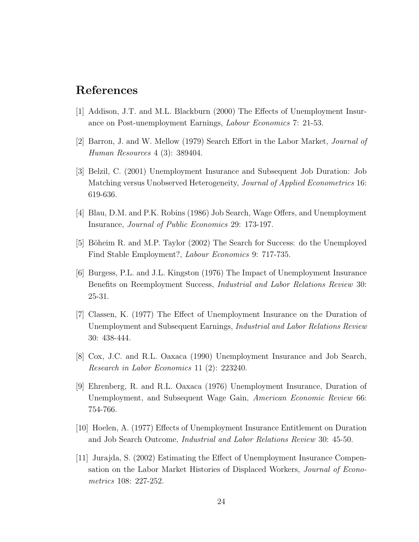## References

- [1] Addison, J.T. and M.L. Blackburn (2000) The Effects of Unemployment Insurance on Post-unemployment Earnings, Labour Economics 7: 21-53.
- [2] Barron, J. and W. Mellow (1979) Search Effort in the Labor Market, Journal of Human Resources 4 (3): 389404.
- [3] Belzil, C. (2001) Unemployment Insurance and Subsequent Job Duration: Job Matching versus Unobserved Heterogeneity, Journal of Applied Econometrics 16: 619-636.
- [4] Blau, D.M. and P.K. Robins (1986) Job Search, Wage Offers, and Unemployment Insurance, Journal of Public Economics 29: 173-197.
- [5] Böheim R. and M.P. Taylor (2002) The Search for Success: do the Unemployed Find Stable Employment?, Labour Economics 9: 717-735.
- [6] Burgess, P.L. and J.L. Kingston (1976) The Impact of Unemployment Insurance Benefits on Reemployment Success, Industrial and Labor Relations Review 30: 25-31.
- [7] Classen, K. (1977) The Effect of Unemployment Insurance on the Duration of Unemployment and Subsequent Earnings, Industrial and Labor Relations Review 30: 438-444.
- [8] Cox, J.C. and R.L. Oaxaca (1990) Unemployment Insurance and Job Search, Research in Labor Economics 11 (2): 223240.
- [9] Ehrenberg, R. and R.L. Oaxaca (1976) Unemployment Insurance, Duration of Unemployment, and Subsequent Wage Gain, American Economic Review 66: 754-766.
- [10] Hoelen, A. (1977) Effects of Unemployment Insurance Entitlement on Duration and Job Search Outcome, Industrial and Labor Relations Review 30: 45-50.
- [11] Jurajda, S. (2002) Estimating the Effect of Unemployment Insurance Compensation on the Labor Market Histories of Displaced Workers, Journal of Econometrics 108: 227-252.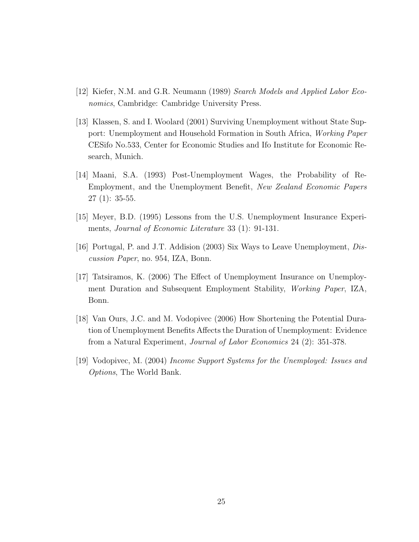- [12] Kiefer, N.M. and G.R. Neumann (1989) Search Models and Applied Labor Economics, Cambridge: Cambridge University Press.
- [13] Klassen, S. and I. Woolard (2001) Surviving Unemployment without State Support: Unemployment and Household Formation in South Africa, Working Paper CESifo No.533, Center for Economic Studies and Ifo Institute for Economic Research, Munich.
- [14] Maani, S.A. (1993) Post-Unemployment Wages, the Probability of Re-Employment, and the Unemployment Benefit, New Zealand Economic Papers 27 (1): 35-55.
- [15] Meyer, B.D. (1995) Lessons from the U.S. Unemployment Insurance Experiments, Journal of Economic Literature 33 (1): 91-131.
- [16] Portugal, P. and J.T. Addision (2003) Six Ways to Leave Unemployment, Discussion Paper, no. 954, IZA, Bonn.
- [17] Tatsiramos, K. (2006) The Effect of Unemployment Insurance on Unemployment Duration and Subsequent Employment Stability, Working Paper, IZA, Bonn.
- [18] Van Ours, J.C. and M. Vodopivec (2006) How Shortening the Potential Duration of Unemployment Benefits Affects the Duration of Unemployment: Evidence from a Natural Experiment, Journal of Labor Economics 24 (2): 351-378.
- [19] Vodopivec, M. (2004) Income Support Systems for the Unemployed: Issues and Options, The World Bank.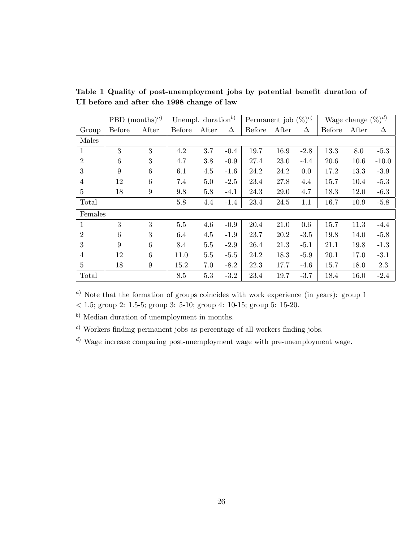|                | PBD $(months)^{a}$ |                  | Unempl. duration <sup>b)</sup> |         | Permanent job $(\%)^c$ |        | Wage change $(\%)^{\overline{d}}$ |        |        |       |         |
|----------------|--------------------|------------------|--------------------------------|---------|------------------------|--------|-----------------------------------|--------|--------|-------|---------|
| Group          | Before             | After            | Before                         | After   | Δ                      | Before | After                             | Δ      | Before | After | Δ       |
| Males          |                    |                  |                                |         |                        |        |                                   |        |        |       |         |
| 1              | 3                  | 3                | 4.2                            | 3.7     | $-0.4$                 | 19.7   | 16.9                              | $-2.8$ | 13.3   | 8.0   | $-5.3$  |
| $\overline{2}$ | $6\phantom{.}6$    | $\boldsymbol{3}$ | 4.7                            | 3.8     | $-0.9$                 | 27.4   | 23.0                              | $-4.4$ | 20.6   | 10.6  | $-10.0$ |
| 3              | 9                  | 6                | 6.1                            | 4.5     | $-1.6$                 | 24.2   | 24.2                              | 0.0    | 17.2   | 13.3  | $-3.9$  |
| $\overline{4}$ | 12                 | 6                | 7.4                            | $5.0\,$ | $-2.5$                 | 23.4   | 27.8                              | 4.4    | 15.7   | 10.4  | $-5.3$  |
| $\overline{5}$ | 18                 | $\boldsymbol{9}$ | 9.8                            | 5.8     | $-4.1$                 | 24.3   | 29.0                              | 4.7    | 18.3   | 12.0  | $-6.3$  |
| Total          |                    |                  | 5.8                            | 4.4     | $-1.4$                 | 23.4   | 24.5                              | 1.1    | 16.7   | 10.9  | $-5.8$  |
| Females        |                    |                  |                                |         |                        |        |                                   |        |        |       |         |
| $\mathbf{1}$   | 3                  | 3                | $5.5\,$                        | 4.6     | $-0.9$                 | 20.4   | 21.0                              | 0.6    | 15.7   | 11.3  | $-4.4$  |
| $\overline{2}$ | $\boldsymbol{6}$   | 3                | 6.4                            | 4.5     | $-1.9$                 | 23.7   | 20.2                              | $-3.5$ | 19.8   | 14.0  | $-5.8$  |
| 3              | 9                  | 6                | 8.4                            | $5.5\,$ | $-2.9$                 | 26.4   | 21.3                              | $-5.1$ | 21.1   | 19.8  | $-1.3$  |
| 4              | 12                 | 6                | 11.0                           | $5.5\,$ | $-5.5$                 | 24.2   | 18.3                              | $-5.9$ | 20.1   | 17.0  | $-3.1$  |
| 5              | 18                 | 9                | 15.2                           | 7.0     | $-8.2$                 | 22.3   | 17.7                              | $-4.6$ | 15.7   | 18.0  | 2.3     |
| Total          |                    |                  | 8.5                            | 5.3     | $-3.2$                 | 23.4   | 19.7                              | $-3.7$ | 18.4   | 16.0  | $-2.4$  |

Table 1 Quality of post-unemployment jobs by potential benefit duration of UI before and after the 1998 change of law

<sup>a</sup>) Note that the formation of groups coincides with work experience (in years): group 1

 $< 1.5$ ; group 2: 1.5-5; group 3: 5-10; group 4: 10-15; group 5: 15-20.

<sup>b</sup>) Median duration of unemployment in months.

<sup>c</sup>) Workers finding permanent jobs as percentage of all workers finding jobs.

<sup>d</sup>) Wage increase comparing post-unemployment wage with pre-unemployment wage.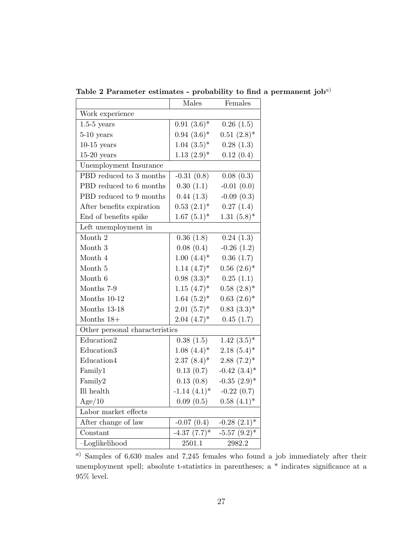|                                | Males                        | Females                      |
|--------------------------------|------------------------------|------------------------------|
| Work experience                |                              |                              |
| $1.5-5$ years                  | $0.91(3.6)$ *                | 0.26(1.5)                    |
| $5-10$ years                   | $0.94~(3.6)*$                | $0.51~(2.8)*$                |
| $10-15$ years                  | $1.04~(3.5)^*$               | 0.28(1.3)                    |
| $15-20$ years                  | $1.13(2.9)*$                 | 0.12(0.4)                    |
| Unemployment Insurance         |                              |                              |
| PBD reduced to 3 months        | $-0.31(0.8)$                 | 0.08(0.3)                    |
| PBD reduced to 6 months        | 0.30(1.1)                    | $-0.01(0.0)$                 |
| PBD reduced to 9 months        | 0.44(1.3)                    | $-0.09(0.3)$                 |
| After benefits expiration      | $0.53(2.1)^*$                | 0.27(1.4)                    |
| End of benefits spike          | $1.67~(5.1)*$                | $1.31(5.8)$ *                |
| Left unemployment in           |                              |                              |
| Month 2                        | 0.36(1.8)                    | 0.24(1.3)                    |
| Month 3                        | 0.08(0.4)                    | $-0.26(1.2)$                 |
| Month 4                        | $1.00~(4.4)*$                | 0.36(1.7)                    |
| Month 5                        | $1.14~(4.7)$ *               | $0.56$ $(2.6)^*$             |
| Month 6                        | $0.98(3.3)*$                 | 0.25(1.1)                    |
| Months 7-9                     | $1.15~(4.7)$ *               | $0.58(2.8)$ *                |
| Months 10-12                   | $1.64~(5.2)*$                | $0.63~(2.6)*$                |
| Months 13-18                   | $2.01(5.7)^*$                | $0.83~(3.3)*$                |
| Months $18+$                   | $2.04~(4.7)$ *               | 0.45(1.7)                    |
| Other personal characteristics |                              |                              |
| Education2                     | 0.38(1.5)                    | $1.42~(3.5)*$                |
| Education3                     | $1.08(4.4)^*$                | $2.18(5.4)^*$                |
| Education4                     | $2.37(8.4)^*$                | $2.88(7.2)^*$                |
| Family1                        | 0.13(0.7)                    | $-0.42$ $(3.4)$ <sup>*</sup> |
| Family2                        | 0.13(0.8)                    | $-0.35$ $(2.9)$ *            |
| Ill health                     | $-1.14$ $(4.1)$ <sup>*</sup> | $-0.22(0.7)$                 |
| Age/10                         | 0.09(0.5)                    | $0.58(4.1)^*$                |
| Labor market effects           |                              |                              |
| After change of law            | $-0.07(0.4)$                 | $-0.28$ $(2.1)$ <sup>*</sup> |
| Constant                       | $-4.37$ $(7.7)^*$            | $-5.57$ $(9.2)$ *            |
| $-Loglikelihood$               | 2501.1                       | 2982.2                       |

Table 2 Parameter estimates - probability to find a permanent job<sup>a)</sup>

<sup>a</sup>) Samples of 6,630 males and 7,245 females who found a job immediately after their unemployment spell; absolute t-statistics in parentheses; a \* indicates significance at a  $95\%$  level.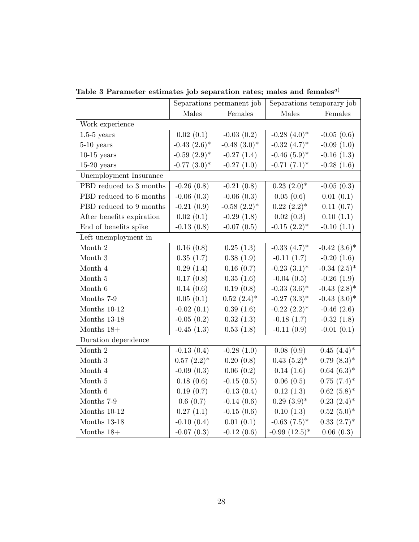|                           | Separations permanent job |                              | Separations temporary job    |                              |  |
|---------------------------|---------------------------|------------------------------|------------------------------|------------------------------|--|
|                           | Males                     | Females                      | Males                        | Females                      |  |
| Work experience           |                           |                              |                              |                              |  |
| $1.5-5$ years             | 0.02(0.1)                 | $-0.03(0.2)$                 | $-0.28$ $(4.0)$ <sup>*</sup> | $-0.05(0.6)$                 |  |
| $5-10$ years              | $-0.43$ $(2.6)^*$         | $-0.48$ $(3.0)$ <sup>*</sup> | $-0.32$ $(4.7)^*$            | $-0.09(1.0)$                 |  |
| $10-15$ years             | $-0.59(2.9)$ *            | $-0.27(1.4)$                 | $-0.46$ $(5.9)$ *            | $-0.16(1.3)$                 |  |
| $15-20$ years             | $-0.77$ $(3.0)$ *         | $-0.27(1.0)$                 | $-0.71(7.1)$ *               | $-0.28(1.6)$                 |  |
| Unemployment Insurance    |                           |                              |                              |                              |  |
| PBD reduced to 3 months   | $-0.26(0.8)$              | $-0.21(0.8)$                 | $0.23$ $(2.0)$ <sup>*</sup>  | $-0.05(0.3)$                 |  |
| PBD reduced to 6 months   | $-0.06(0.3)$              | $-0.06(0.3)$                 | 0.05(0.6)                    | 0.01(0.1)                    |  |
| PBD reduced to 9 months   | $-0.21(0.9)$              | $-0.58$ $(2.2)$ <sup>*</sup> | $0.22~(2.2)^*$               | 0.11(0.7)                    |  |
| After benefits expiration | 0.02(0.1)                 | $-0.29(1.8)$                 | 0.02(0.3)                    | 0.10(1.1)                    |  |
| End of benefits spike     | $-0.13(0.8)$              | $-0.07(0.5)$                 | $-0.15$ $(2.2)$ <sup>*</sup> | $-0.10(1.1)$                 |  |
| Left unemployment in      |                           |                              |                              |                              |  |
| Month $2\,$               | 0.16(0.8)                 | 0.25(1.3)                    | $-0.33(4.7)$ *               | $-0.42$ $(3.6)$ <sup>*</sup> |  |
| Month 3                   | 0.35(1.7)                 | 0.38(1.9)                    | $-0.11(1.7)$                 | $-0.20(1.6)$                 |  |
| Month 4                   | 0.29(1.4)                 | 0.16(0.7)                    | $-0.23$ $(3.1)$ <sup>*</sup> | $-0.34$ $(2.5)^*$            |  |
| Month $5\,$               | 0.17(0.8)                 | 0.35(1.6)                    | $-0.04(0.5)$                 | $-0.26(1.9)$                 |  |
| Month 6                   | 0.14(0.6)                 | 0.19(0.8)                    | $-0.33(3.6)$ *               | $-0.43$ $(2.8)$ <sup>*</sup> |  |
| Months 7-9                | 0.05(0.1)                 | $0.52~(2.4)*$                | $-0.27$ $(3.3)$ <sup>*</sup> | $-0.43$ $(3.0)$ *            |  |
| Months $10-12$            | $-0.02(0.1)$              | 0.39(1.6)                    | $-0.22$ $(2.2)^*$            | $-0.46(2.6)$                 |  |
| Months 13-18              | $-0.05(0.2)$              | 0.32(1.3)                    | $-0.18(1.7)$                 | $-0.32(1.8)$                 |  |
| Months $18+$              | $-0.45(1.3)$              | 0.53(1.8)                    | $-0.11(0.9)$                 | $-0.01(0.1)$                 |  |
| Duration dependence       |                           |                              |                              |                              |  |
| Month 2                   | $-0.13(0.4)$              | $-0.28(1.0)$                 | 0.08(0.9)                    | $0.45(4.4)^*$                |  |
| Month 3                   | $0.57~(2.2)*$             | 0.20(0.8)                    | $0.43~(5.2)^*$               | $0.79(8.3)*$                 |  |
| Month 4                   | $-0.09(0.3)$              | 0.06(0.2)                    | 0.14(1.6)                    | $0.64~(6.3)*$                |  |
| Month 5                   | 0.18(0.6)                 | $-0.15(0.5)$                 | 0.06(0.5)                    | $0.75(7.4)^*$                |  |
| Month 6                   | 0.19(0.7)                 | $-0.13(0.4)$                 | 0.12(1.3)                    | $0.62(5.8)$ *                |  |
| Months 7-9                | 0.6(0.7)                  | $-0.14(0.6)$                 | $0.29(3.9)*$                 | $0.23$ $(2.4)$ <sup>*</sup>  |  |
| Months $10-12$            | 0.27(1.1)                 | $-0.15(0.6)$                 | 0.10(1.3)                    | $0.52(5.0)$ *                |  |
| Months $13-18$            | $-0.10(0.4)$              | 0.01(0.1)                    | $-0.63$ $(7.5)^*$            | $0.33~(2.7)$ *               |  |
| Months $18+$              | $-0.07(0.3)$              | $-0.12(0.6)$                 | $-0.99(12.5)$ *              | 0.06(0.3)                    |  |

Table 3 Parameter estimates job separation rates; males and females $^{a)}$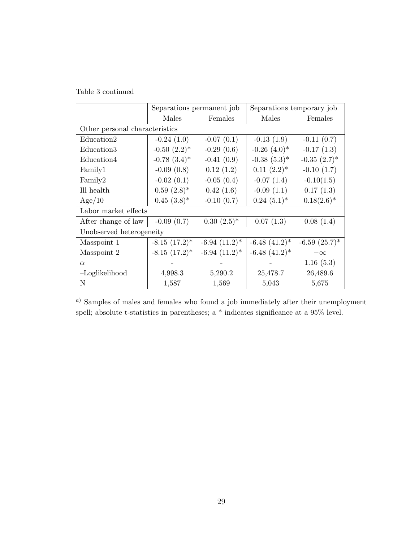Table 3 continued

|                                | Separations permanent job    |                    | Separations temporary job    |                    |  |  |
|--------------------------------|------------------------------|--------------------|------------------------------|--------------------|--|--|
|                                | Males                        | Females            | Males                        | Females            |  |  |
| Other personal characteristics |                              |                    |                              |                    |  |  |
| Education2                     | $-0.24(1.0)$                 | $-0.07(0.1)$       | $-0.13(1.9)$                 | $-0.11(0.7)$       |  |  |
| Education <sub>3</sub>         | $-0.50$ $(2.2)$ <sup>*</sup> | $-0.29(0.6)$       | $-0.26$ $(4.0)$ <sup>*</sup> | $-0.17(1.3)$       |  |  |
| Education4                     | $-0.78$ $(3.4)$ <sup>*</sup> | $-0.41(0.9)$       | $-0.38(5.3)*$                | $-0.35(2.7)$ *     |  |  |
| Family1                        | $-0.09(0.8)$                 | 0.12(1.2)          | $0.11(2.2)^*$                | $-0.10(1.7)$       |  |  |
| Family2                        | $-0.02(0.1)$                 | $-0.05(0.4)$       | $-0.07(1.4)$                 | $-0.10(1.5)$       |  |  |
| Ill health                     | $0.59(2.8)$ *                | 0.42(1.6)          | $-0.09(1.1)$                 | 0.17(1.3)          |  |  |
| Age/10                         | $0.45(3.8)$ *                | $-0.10(0.7)$       | $0.24~(5.1)^*$               | $0.18(2.6)^*$      |  |  |
| Labor market effects           |                              |                    |                              |                    |  |  |
| After change of law            | $-0.09(0.7)$                 | $0.30(2.5)$ *      | 0.07(1.3)                    | 0.08(1.4)          |  |  |
| Unobserved heterogeneity       |                              |                    |                              |                    |  |  |
| Masspoint 1                    | $-8.15(17.2)^*$              | $-6.94$ $(11.2)^*$ | $-6.48$ $(41.2)^*$           | $-6.59$ $(25.7)^*$ |  |  |
| Masspoint 2                    | $-8.15(17.2)^*$              | $-6.94$ $(11.2)^*$ | $-6.48$ $(41.2)^*$           | $-\infty$          |  |  |
| $\alpha$                       |                              |                    |                              | 1.16(5.3)          |  |  |
| -Loglikelihood                 | 4,998.3                      | 5,290.2            | 25,478.7                     | 26,489.6           |  |  |
| N                              | 1,587                        | 1,569              | 5,043                        | 5,675              |  |  |

<sup>a</sup>) Samples of males and females who found a job immediately after their unemployment spell; absolute t-statistics in parentheses; a \* indicates significance at a 95% level.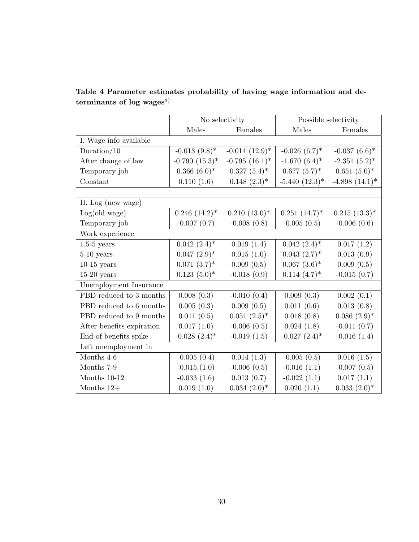|                           | No selectivity                |                                | Possible selectivity          |                  |  |
|---------------------------|-------------------------------|--------------------------------|-------------------------------|------------------|--|
|                           | Males                         | Females                        | Males                         | Females          |  |
| I. Wage info available    |                               |                                |                               |                  |  |
| Duration/ $10$            | $-0.013(9.8)$ *               | $-0.014$ $(12.9)$ <sup>*</sup> | $-0.026(6.7)^*$               | $-0.037(6.6)$ *  |  |
| After change of law       | $-0.790(15.3)*$               | $-0.795$ $(16.1)^*$            | $-1.670(6.4)$ *               | $-2.351(5.2)$ *  |  |
| Temporary job             | $0.366(6.0)*$                 | $0.327(5.4)^*$                 | $0.677~(5.7)^*$               | $0.651(5.0)^*$   |  |
| Constant                  | 0.110(1.6)                    | $0.148~(2.3)*$                 | $-5.440(12.3)$ *              | $-4.898(14.1)$ * |  |
|                           |                               |                                |                               |                  |  |
| II. Log (new wage)        |                               |                                |                               |                  |  |
| Log(old wage)             | $0.246~(14.2)^*$              | $0.210(13.0)*$                 | $0.251~(14.7)^*$              | $0.215(13.3)^*$  |  |
| Temporary job             | $-0.007(0.7)$                 | $-0.008(0.8)$                  | $-0.005(0.5)$                 | $-0.006(0.6)$    |  |
| Work experience           |                               |                                |                               |                  |  |
| $1.5-5$ years             | $0.042~(2.4)$ *               | 0.019(1.4)                     | $0.042~(2.4)$ *               | 0.017(1.2)       |  |
| $5-10$ years              | $0.047~(2.9)*$                | 0.015(1.0)                     | $0.043~(2.7)$ *               | 0.013(0.9)       |  |
| $10-15$ years             | $0.071~(3.7)*$                | 0.009(0.5)                     | $0.067~(3.6)$ *               | 0.009(0.5)       |  |
| $15-20$ years             | $0.123(5.0)^*$                | $-0.018(0.9)$                  | $0.114~(4.7)$ *               | $-0.015(0.7)$    |  |
| Unemployment Insurance    |                               |                                |                               |                  |  |
| PBD reduced to 3 months   | 0.008(0.3)                    | $-0.010(0.4)$                  | 0.009(0.3)                    | 0.002(0.1)       |  |
| PBD reduced to 6 months   | 0.005(0.3)                    | 0.009(0.5)                     | 0.011(0.6)                    | 0.013(0.8)       |  |
| PBD reduced to 9 months   | 0.011(0.5)                    | $0.051~(2.5)^*$                | 0.018(0.8)                    | $0.086~(2.9)*$   |  |
| After benefits expiration | 0.017(1.0)                    | $-0.006(0.5)$                  | 0.024(1.8)                    | $-0.011(0.7)$    |  |
| End of benefits spike     | $-0.028$ $(2.4)$ <sup>*</sup> | $-0.019(1.5)$                  | $-0.027$ $(2.4)$ <sup>*</sup> | $-0.016(1.4)$    |  |
| Left unemployment in      |                               |                                |                               |                  |  |
| Months 4-6                | $-0.005(0.4)$                 | 0.014(1.3)                     | $-0.005(0.5)$                 | 0.016(1.5)       |  |
| Months 7-9                | $-0.015(1.0)$                 | $-0.006(0.5)$                  | $-0.016(1.1)$                 | $-0.007(0.5)$    |  |
| Months 10-12              | $-0.033(1.6)$                 | 0.013(0.7)                     | $-0.022(1.1)$                 | 0.017(1.1)       |  |
| Months $12+$              | 0.019(1.0)                    | $0.034~(2.0)*$                 | 0.020(1.1)                    | $0.033(2.0)*$    |  |

Table 4 Parameter estimates probability of having wage information and determinants of log  $\mathsf{wages}^{\mathit{a})}$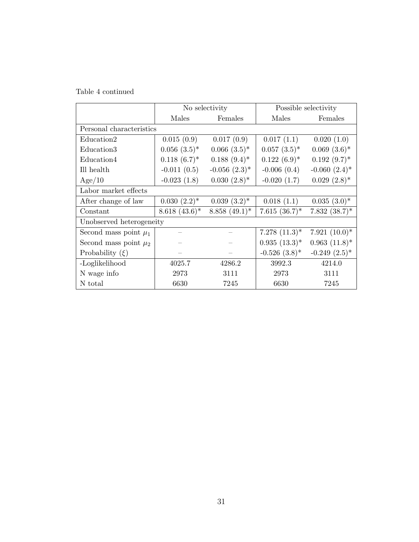Table 4 continued

|                           | No selectivity  |                               |                  | Possible selectivity |
|---------------------------|-----------------|-------------------------------|------------------|----------------------|
|                           | Males           | Females                       | Males            | Females              |
| Personal characteristics  |                 |                               |                  |                      |
| Education <sub>2</sub>    | 0.015(0.9)      | 0.017(0.9)                    | 0.017(1.1)       | 0.020(1.0)           |
| Education <sub>3</sub>    | $0.056~(3.5)*$  | $0.066~(3.5)*$                | $0.057~(3.5)*$   | $0.069(3.6)$ *       |
| Education4                | $0.118(6.7)^*$  | $0.188~(9.4)^*$               | $0.122(6.9)^*$   | $0.192(9.7)^*$       |
| Ill health                | $-0.011(0.5)$   | $-0.056$ $(2.3)$ <sup>*</sup> | $-0.006(0.4)$    | $-0.060~(2.4)$ *     |
| Age/10                    | $-0.023(1.8)$   | $0.030(2.8)$ *                | $-0.020(1.7)$    | $0.029(2.8)$ *       |
| Labor market effects      |                 |                               |                  |                      |
| After change of law       | $0.030(2.2)^*$  | $0.039(3.2)^*$                | 0.018(1.1)       | $0.035(3.0)^*$       |
| Constant                  | $8.618~(43.6)*$ | $8.858(49.1)^*$               | $7.615~(36.7)^*$ | $7.832(38.7)^*$      |
| Unobserved heterogeneity  |                 |                               |                  |                      |
| Second mass point $\mu_1$ |                 |                               | $7.278~(11.3)^*$ | $7.921~(10.0)*$      |
| Second mass point $\mu_2$ |                 |                               | $0.935(13.3)^*$  | $0.963$ $(11.8)^*$   |
| Probability $(\xi)$       |                 |                               | $-0.526(3.8)$ *  | $-0.249(2.5)$ *      |
| -Loglikelihood            | 4025.7          | 4286.2                        | 3992.3           | 4214.0               |
| N wage info               | 2973            | 3111                          | 2973             | 3111                 |
| N total                   | 6630            | 7245                          | 6630             | 7245                 |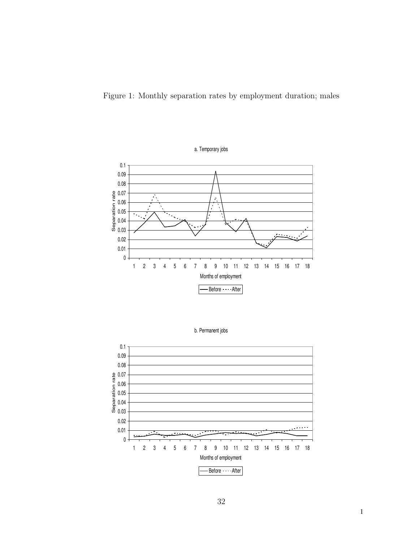Figure 1: Monthly separation rates by employment duration; males